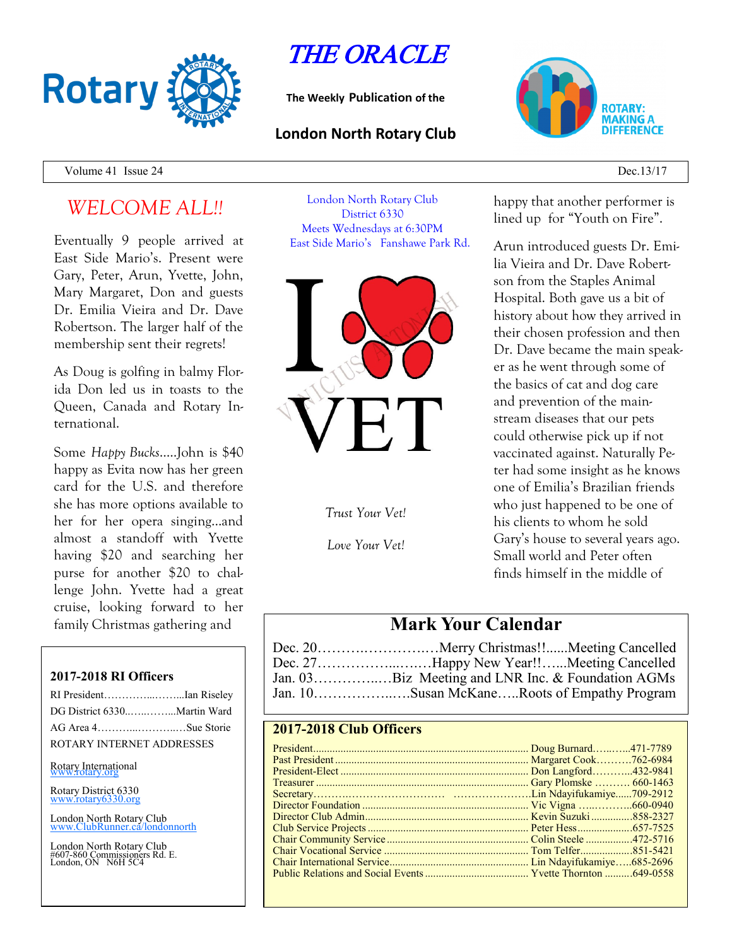

# THE ORACLE

**The Weekly Publication of the**

#### **London North Rotary Club**



Volume 41 Issue 24 Dec. $\frac{13}{17}$ 

## *WELCOME ALL!!*

Eventually 9 people arrived at East Side Mario's. Present were Gary, Peter, Arun, Yvette, John, Mary Margaret, Don and guests Dr. Emilia Vieira and Dr. Dave Robertson. The larger half of the membership sent their regrets!

As Doug is golfing in balmy Florida Don led us in toasts to the Queen, Canada and Rotary International.

Some *Happy Bucks*…..John is \$40 happy as Evita now has her green card for the U.S. and therefore she has more options available to her for her opera singing...and almost a standoff with Yvette having \$20 and searching her purse for another \$20 to challenge John. Yvette had a great cruise, looking forward to her family Christmas gathering and

#### **2017-2018 RI Officers**

| RI PresidentIan Riseley     |  |
|-----------------------------|--|
| DG District 6330Martin Ward |  |
| AG Area 4Sue Storie         |  |
| ROTARY INTERNET ADDRESSES   |  |
|                             |  |

Rotary International

Rotary District 6330 [www.rotary6330.org](http://www.rotary6330.org/)

London North Rotary Club  $T$ ubRunner.ca/londonnorth

London North Rotary Club #607-860 Commissioners Rd. E. London, ON N6H 5C4

London North Rotary Club District 6330 Meets Wednesdays at 6:30PM East Side Mario's Fanshawe Park Rd.



*Trust Your Vet!*

*Love Your Vet!*

#### happy that another performer is lined up for "Youth on Fire".

Arun introduced guests Dr. Emilia Vieira and Dr. Dave Robertson from the Staples Animal Hospital. Both gave us a bit of history about how they arrived in their chosen profession and then Dr. Dave became the main speaker as he went through some of the basics of cat and dog care and prevention of the mainstream diseases that our pets could otherwise pick up if not vaccinated against. Naturally Peter had some insight as he knows one of Emilia's Brazilian friends who just happened to be one of his clients to whom he sold Gary's house to several years ago. Small world and Peter often finds himself in the middle of

### **Mark Your Calendar**

| Dec. 27Happy New Year!!Meeting Cancelled          |  |
|---------------------------------------------------|--|
| Jan. 03Biz Meeting and LNR Inc. & Foundation AGMs |  |
|                                                   |  |

#### **2017-2018 Club Officers**